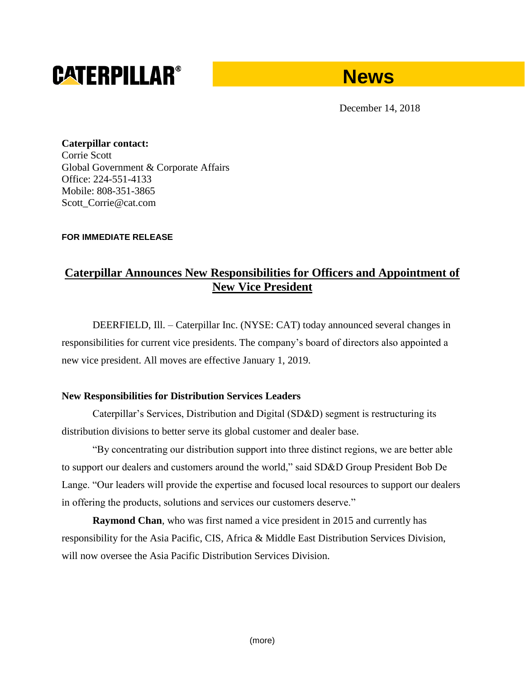# **CATERPILLAR®**



December 14, 2018

**Caterpillar contact:** Corrie Scott Global Government & Corporate Affairs Office: 224-551-4133 Mobile: 808-351-3865 Scott\_Corrie@cat.com

### **FOR IMMEDIATE RELEASE**

# **Caterpillar Announces New Responsibilities for Officers and Appointment of New Vice President**

DEERFIELD, Ill. – Caterpillar Inc. (NYSE: CAT) today announced several changes in responsibilities for current vice presidents. The company's board of directors also appointed a new vice president. All moves are effective January 1, 2019.

## **New Responsibilities for Distribution Services Leaders**

Caterpillar's Services, Distribution and Digital (SD&D) segment is restructuring its distribution divisions to better serve its global customer and dealer base.

"By concentrating our distribution support into three distinct regions, we are better able to support our dealers and customers around the world," said SD&D Group President Bob De Lange. "Our leaders will provide the expertise and focused local resources to support our dealers in offering the products, solutions and services our customers deserve."

**Raymond Chan**, who was first named a vice president in 2015 and currently has responsibility for the Asia Pacific, CIS, Africa & Middle East Distribution Services Division, will now oversee the Asia Pacific Distribution Services Division.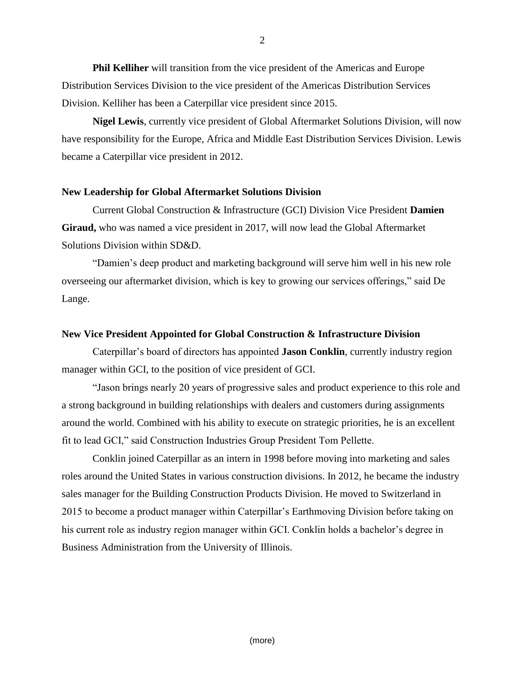**Phil Kelliher** will transition from the vice president of the Americas and Europe Distribution Services Division to the vice president of the Americas Distribution Services Division. Kelliher has been a Caterpillar vice president since 2015.

**Nigel Lewis**, currently vice president of Global Aftermarket Solutions Division, will now have responsibility for the Europe, Africa and Middle East Distribution Services Division. Lewis became a Caterpillar vice president in 2012.

#### **New Leadership for Global Aftermarket Solutions Division**

Current Global Construction & Infrastructure (GCI) Division Vice President **Damien Giraud,** who was named a vice president in 2017, will now lead the Global Aftermarket Solutions Division within SD&D.

"Damien's deep product and marketing background will serve him well in his new role overseeing our aftermarket division, which is key to growing our services offerings," said De Lange.

#### **New Vice President Appointed for Global Construction & Infrastructure Division**

Caterpillar's board of directors has appointed **Jason Conklin**, currently industry region manager within GCI, to the position of vice president of GCI.

"Jason brings nearly 20 years of progressive sales and product experience to this role and a strong background in building relationships with dealers and customers during assignments around the world. Combined with his ability to execute on strategic priorities, he is an excellent fit to lead GCI," said Construction Industries Group President Tom Pellette.

Conklin joined Caterpillar as an intern in 1998 before moving into marketing and sales roles around the United States in various construction divisions. In 2012, he became the industry sales manager for the Building Construction Products Division. He moved to Switzerland in 2015 to become a product manager within Caterpillar's Earthmoving Division before taking on his current role as industry region manager within GCI. Conklin holds a bachelor's degree in Business Administration from the University of Illinois.